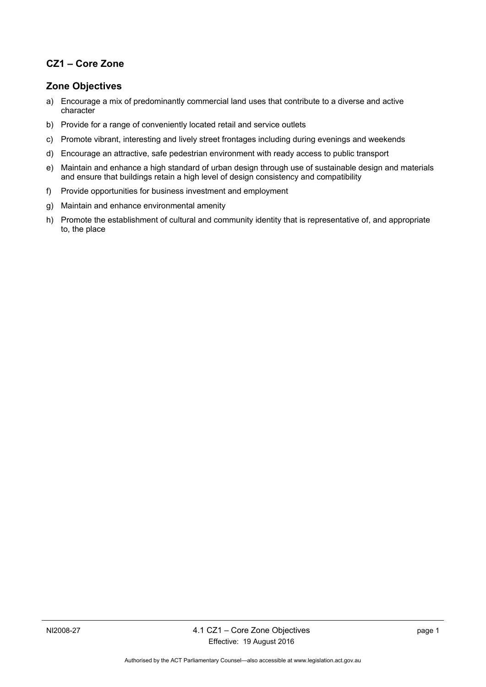## **CZ1 – Core Zone**

## **Zone Objectives**

- a) Encourage a mix of predominantly commercial land uses that contribute to a diverse and active character
- b) Provide for a range of conveniently located retail and service outlets
- c) Promote vibrant, interesting and lively street frontages including during evenings and weekends
- d) Encourage an attractive, safe pedestrian environment with ready access to public transport
- e) Maintain and enhance a high standard of urban design through use of sustainable design and materials and ensure that buildings retain a high level of design consistency and compatibility
- f) Provide opportunities for business investment and employment
- g) Maintain and enhance environmental amenity
- h) Promote the establishment of cultural and community identity that is representative of, and appropriate to, the place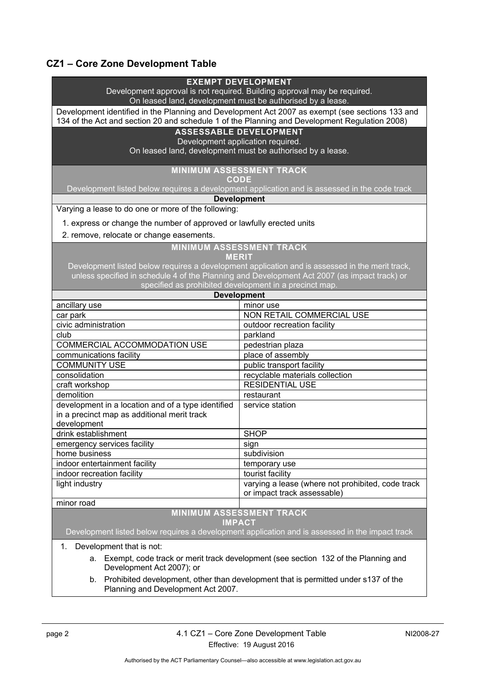# **CZ1 – Core Zone Development Table**

|                                                                                                                                        | <b>EXEMPT DEVELOPMENT</b>                                                                       |  |
|----------------------------------------------------------------------------------------------------------------------------------------|-------------------------------------------------------------------------------------------------|--|
| Development approval is not required. Building approval may be required.<br>On leased land, development must be authorised by a lease. |                                                                                                 |  |
| Development identified in the Planning and Development Act 2007 as exempt (see sections 133 and                                        |                                                                                                 |  |
| 134 of the Act and section 20 and schedule 1 of the Planning and Development Regulation 2008)                                          |                                                                                                 |  |
| <b>ASSESSABLE DEVELOPMENT</b>                                                                                                          |                                                                                                 |  |
| Development application required.                                                                                                      |                                                                                                 |  |
| On leased land, development must be authorised by a lease.                                                                             |                                                                                                 |  |
| <b>MINIMUM ASSESSMENT TRACK</b>                                                                                                        |                                                                                                 |  |
| <b>CODE</b>                                                                                                                            |                                                                                                 |  |
| Development listed below requires a development application and is assessed in the code track                                          |                                                                                                 |  |
| <b>Development</b>                                                                                                                     |                                                                                                 |  |
| Varying a lease to do one or more of the following:                                                                                    |                                                                                                 |  |
| 1. express or change the number of approved or lawfully erected units                                                                  |                                                                                                 |  |
| 2. remove, relocate or change easements.                                                                                               |                                                                                                 |  |
| <b>MINIMUM ASSESSMENT TRACK</b>                                                                                                        |                                                                                                 |  |
| <b>MERIT</b>                                                                                                                           |                                                                                                 |  |
|                                                                                                                                        | Development listed below requires a development application and is assessed in the merit track, |  |
|                                                                                                                                        | unless specified in schedule 4 of the Planning and Development Act 2007 (as impact track) or    |  |
| specified as prohibited development in a precinct map.                                                                                 |                                                                                                 |  |
| <b>Development</b>                                                                                                                     |                                                                                                 |  |
| ancillary use                                                                                                                          | minor use                                                                                       |  |
| car park                                                                                                                               | NON RETAIL COMMERCIAL USE                                                                       |  |
| civic administration                                                                                                                   | outdoor recreation facility                                                                     |  |
| club                                                                                                                                   | parkland                                                                                        |  |
| <b>COMMERCIAL ACCOMMODATION USE</b>                                                                                                    | pedestrian plaza                                                                                |  |
| communications facility                                                                                                                | place of assembly                                                                               |  |
| <b>COMMUNITY USE</b>                                                                                                                   | public transport facility                                                                       |  |
| consolidation                                                                                                                          | recyclable materials collection                                                                 |  |
| craft workshop                                                                                                                         | <b>RESIDENTIAL USE</b>                                                                          |  |
| demolition                                                                                                                             | restaurant                                                                                      |  |
| development in a location and of a type identified                                                                                     | service station                                                                                 |  |
| in a precinct map as additional merit track                                                                                            |                                                                                                 |  |
| development                                                                                                                            |                                                                                                 |  |
| drink establishment                                                                                                                    | <b>SHOP</b>                                                                                     |  |
| emergency services facility                                                                                                            | sign                                                                                            |  |
| home business                                                                                                                          | subdivision                                                                                     |  |
| indoor entertainment facility                                                                                                          | temporary use                                                                                   |  |
| indoor recreation facility                                                                                                             | tourist facility                                                                                |  |
| light industry                                                                                                                         | varying a lease (where not prohibited, code track<br>or impact track assessable)                |  |
| minor road                                                                                                                             |                                                                                                 |  |
| <b>MINIMUM ASSESSMENT TRACK</b>                                                                                                        |                                                                                                 |  |
| <b>IMPACT</b>                                                                                                                          |                                                                                                 |  |
| Development listed below requires a development application and is assessed in the impact track                                        |                                                                                                 |  |
| Development that is not:<br>1.                                                                                                         |                                                                                                 |  |
| Exempt, code track or merit track development (see section 132 of the Planning and<br>a.                                               |                                                                                                 |  |
| Development Act 2007); or                                                                                                              |                                                                                                 |  |
| Drobibited development, other than development that is permitted under 0127 of the                                                     |                                                                                                 |  |

b. Prohibited development, other than development that is permitted under s137 of the Planning and Development Act 2007.